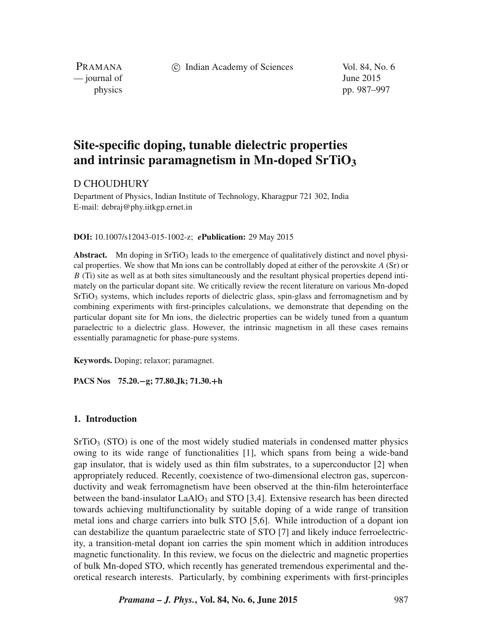c Indian Academy of Sciences Vol. 84, No. 6

PRAMANA  $\frac{1}{2}$  journal of June 2015

physics pp. 987–997

# **Site-specific doping, tunable dielectric properties and intrinsic paramagnetism in Mn-doped SrTiO3**

## D CHOUDHURY

Department of Physics, Indian Institute of Technology, Kharagpur 721 302, India E-mail: debraj@phy.iitkgp.ernet.in

## **DOI:** 10.1007/s12043-015-1002-z; *e***Publication:** 29 May 2015

**Abstract.** Mn doping in  $SrTiO<sub>3</sub>$  leads to the emergence of qualitatively distinct and novel physical properties. We show that Mn ions can be controllably doped at either of the perovskite A (Sr) or  $B$  (Ti) site as well as at both sites simultaneously and the resultant physical properties depend intimately on the particular dopant site. We critically review the recent literature on various Mn-doped  $SrTiO<sub>3</sub>$  systems, which includes reports of dielectric glass, spin-glass and ferromagnetism and by combining experiments with first-principles calculations, we demonstrate that depending on the particular dopant site for Mn ions, the dielectric properties can be widely tuned from a quantum paraelectric to a dielectric glass. However, the intrinsic magnetism in all these cases remains essentially paramagnetic for phase-pure systems.

**Keywords.** Doping; relaxor; paramagnet.

**PACS Nos 75.20.−g; 77.80.Jk; 71.30.+h**

#### **1. Introduction**

 $SrTiO<sub>3</sub> (STO)$  is one of the most widely studied materials in condensed matter physics owing to its wide range of functionalities [1], which spans from being a wide-band gap insulator, that is widely used as thin film substrates, to a superconductor [2] when appropriately reduced. Recently, coexistence of two-dimensional electron gas, superconductivity and weak ferromagnetism have been observed at the thin-film heterointerface between the band-insulator  $LaAlO<sub>3</sub>$  and STO [3,4]. Extensive research has been directed towards achieving multifunctionality by suitable doping of a wide range of transition metal ions and charge carriers into bulk STO [5,6]. While introduction of a dopant ion can destabilize the quantum paraelectric state of STO [7] and likely induce ferroelectricity, a transition-metal dopant ion carries the spin moment which in addition introduces magnetic functionality. In this review, we focus on the dielectric and magnetic properties of bulk Mn-doped STO, which recently has generated tremendous experimental and theoretical research interests. Particularly, by combining experiments with first-principles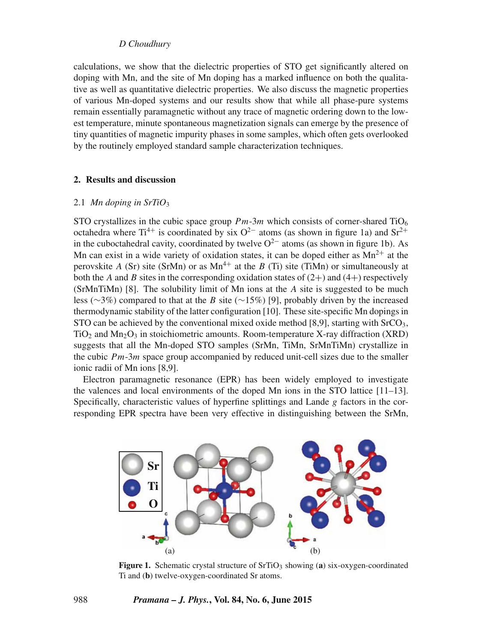calculations, we show that the dielectric properties of STO get significantly altered on doping with Mn, and the site of Mn doping has a marked influence on both the qualitative as well as quantitative dielectric properties. We also discuss the magnetic properties of various Mn-doped systems and our results show that while all phase-pure systems remain essentially paramagnetic without any trace of magnetic ordering down to the lowest temperature, minute spontaneous magnetization signals can emerge by the presence of tiny quantities of magnetic impurity phases in some samples, which often gets overlooked by the routinely employed standard sample characterization techniques.

## **2. Results and discussion**

## 2.1 *Mn doping in SrTiO*<sup>3</sup>

STO crystallizes in the cubic space group  $Pm-3m$  which consists of corner-shared TiO<sub>6</sub> octahedra where Ti<sup>4+</sup> is coordinated by six O<sup>2−</sup> atoms (as shown in figure 1a) and Sr<sup>2+</sup> in the cuboctahedral cavity, coordinated by twelve  $O^{2-}$  atoms (as shown in figure 1b). As Mn can exist in a wide variety of oxidation states, it can be doped either as  $Mn^{2+}$  at the perovskite A (Sr) site (SrMn) or as  $Mn^{4+}$  at the B (Ti) site (TiMn) or simultaneously at both the A and B sites in the corresponding oxidation states of  $(2+)$  and  $(4+)$  respectively  $(SrMnTiMn)$  [8]. The solubility limit of Mn ions at the A site is suggested to be much less (∼3%) compared to that at the B site (∼15%) [9], probably driven by the increased thermodynamic stability of the latter configuration [10]. These site-specific Mn dopings in STO can be achieved by the conventional mixed oxide method [8,9], starting with  $SrCO<sub>3</sub>$ ,  $TiO<sub>2</sub>$  and  $Mn<sub>2</sub>O<sub>3</sub>$  in stoichiometric amounts. Room-temperature X-ray diffraction (XRD) suggests that all the Mn-doped STO samples (SrMn, TiMn, SrMnTiMn) crystallize in the cubic  $Pm-3m$  space group accompanied by reduced unit-cell sizes due to the smaller ionic radii of Mn ions [8,9].

Electron paramagnetic resonance (EPR) has been widely employed to investigate the valences and local environments of the doped Mn ions in the STO lattice [11–13]. Specifically, characteristic values of hyperfine splittings and Lande  $g$  factors in the corresponding EPR spectra have been very effective in distinguishing between the SrMn,



Figure 1. Schematic crystal structure of SrTiO<sub>3</sub> showing (a) six-oxygen-coordinated Ti and (**b**) twelve-oxygen-coordinated Sr atoms.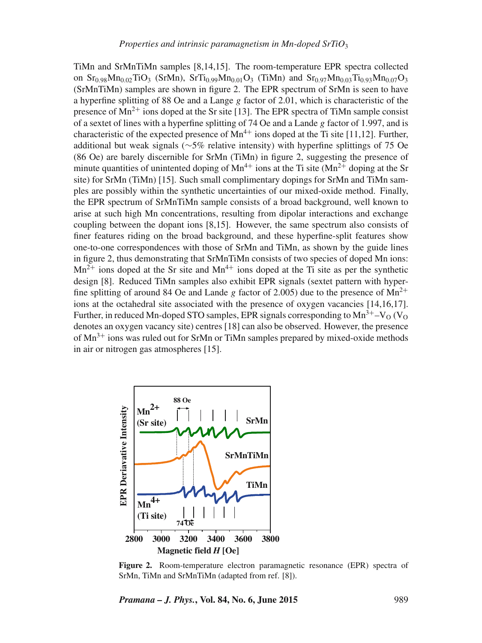TiMn and SrMnTiMn samples [8,14,15]. The room-temperature EPR spectra collected on  $Sr_{0.98}M_{0.02}TiO_3$  (SrMn), SrTi $_{0.99}M_{0.01}O_3$  (TiMn) and  $Sr_{0.97}M_{0.03}Ti_{0.93}M_{0.07}O_3$ (SrMnTiMn) samples are shown in figure 2. The EPR spectrum of SrMn is seen to have a hyperfine splitting of 88 Oe and a Lange g factor of 2.01, which is characteristic of the presence of  $Mn^{2+}$  ions doped at the Sr site [13]. The EPR spectra of TiMn sample consist of a sextet of lines with a hyperfine splitting of 74 Oe and a Lande g factor of 1.997, and is characteristic of the expected presence of  $Mn^{4+}$  ions doped at the Ti site [11,12]. Further, additional but weak signals (∼5% relative intensity) with hyperfine splittings of 75 Oe (86 Oe) are barely discernible for SrMn (TiMn) in figure 2, suggesting the presence of minute quantities of unintented doping of  $Mn^{4+}$  ions at the Ti site  $(Mn^{2+})$  doping at the Sr site) for SrMn (TiMn) [15]. Such small complimentary dopings for SrMn and TiMn samples are possibly within the synthetic uncertainties of our mixed-oxide method. Finally, the EPR spectrum of SrMnTiMn sample consists of a broad background, well known to arise at such high Mn concentrations, resulting from dipolar interactions and exchange coupling between the dopant ions [8,15]. However, the same spectrum also consists of finer features riding on the broad background, and these hyperfine-split features show one-to-one correspondences with those of SrMn and TiMn, as shown by the guide lines in figure 2, thus demonstrating that SrMnTiMn consists of two species of doped Mn ions:  $Mn^{2+}$  ions doped at the Sr site and  $Mn^{4+}$  ions doped at the Ti site as per the synthetic design [8]. Reduced TiMn samples also exhibit EPR signals (sextet pattern with hyperfine splitting of around 84 Oe and Lande g factor of 2.005) due to the presence of  $Mn^{2+}$ ions at the octahedral site associated with the presence of oxygen vacancies [14,16,17]. Further, in reduced Mn-doped STO samples, EPR signals corresponding to  $Mn^{3+}-V_{\Omega}$  (V<sub>O</sub> denotes an oxygen vacancy site) centres [18] can also be observed. However, the presence of  $Mn^{3+}$  ions was ruled out for SrMn or TiMn samples prepared by mixed-oxide methods in air or nitrogen gas atmospheres [15].



**Figure 2.** Room-temperature electron paramagnetic resonance (EPR) spectra of SrMn, TiMn and SrMnTiMn (adapted from ref. [8]).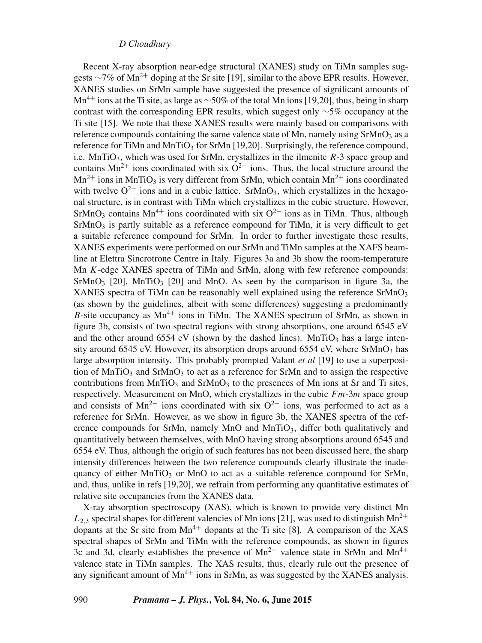Recent X-ray absorption near-edge structural (XANES) study on TiMn samples suggests  $\sim$ 7% of Mn<sup>2+</sup> doping at the Sr site [19], similar to the above EPR results. However, XANES studies on SrMn sample have suggested the presence of significant amounts of Mn<sup>4+</sup> ions at the Ti site, as large as ∼50% of the total Mn ions [19,20], thus, being in sharp contrast with the corresponding EPR results, which suggest only ∼5% occupancy at the Ti site [15]. We note that these XANES results were mainly based on comparisons with reference compounds containing the same valence state of Mn, namely using  $SrMnO<sub>3</sub>$  as a reference for TiMn and MnTiO<sub>3</sub> for SrMn [19,20]. Surprisingly, the reference compound, i.e. MnTiO<sub>3</sub>, which was used for SrMn, crystallizes in the ilmenite  $R-3$  space group and contains Mn<sup>2+</sup> ions coordinated with six  $\overrightarrow{O}^{2-}$  ions. Thus, the local structure around the  $Mn^{2+}$  ions in MnTiO<sub>3</sub> is very different from SrMn, which contain Mn<sup>2+</sup> ions coordinated with twelve  $O^{2-}$  ions and in a cubic lattice. SrMnO<sub>3</sub>, which crystallizes in the hexagonal structure, is in contrast with TiMn which crystallizes in the cubic structure. However, SrMnO<sub>3</sub> contains Mn<sup>4+</sup> ions coordinated with six O<sup>2−</sup> ions as in TiMn. Thus, although  $SrMnO<sub>3</sub>$  is partly suitable as a reference compound for TiMn, it is very difficult to get a suitable reference compound for SrMn. In order to further investigate these results, XANES experiments were performed on our SrMn and TiMn samples at the XAFS beamline at Elettra Sincrotrone Centre in Italy. Figures 3a and 3b show the room-temperature Mn K-edge XANES spectra of TiMn and SrMn, along with few reference compounds:  $SrMnO<sub>3</sub>$  [20],  $MnTiO<sub>3</sub>$  [20] and MnO. As seen by the comparison in figure 3a, the XANES spectra of TiMn can be reasonably well explained using the reference  $SrMnO<sub>3</sub>$ (as shown by the guidelines, albeit with some differences) suggesting a predominantly B-site occupancy as  $Mn^{4+}$  ions in TiMn. The XANES spectrum of SrMn, as shown in figure 3b, consists of two spectral regions with strong absorptions, one around 6545 eV and the other around 6554 eV (shown by the dashed lines). MnTiO<sub>3</sub> has a large intensity around 6545 eV. However, its absorption drops around 6554 eV, where  $SrMnO<sub>3</sub>$  has large absorption intensity. This probably prompted Valant *et al* [19] to use a superposition of MnTiO<sub>3</sub> and SrMnO<sub>3</sub> to act as a reference for SrMn and to assign the respective contributions from MnTiO<sub>3</sub> and SrMnO<sub>3</sub> to the presences of Mn ions at Sr and Ti sites, respectively. Measurement on MnO, which crystallizes in the cubic  $Fm-3m$  space group and consists of Mn<sup>2+</sup> ions coordinated with six  $O^{2-}$  ions, was performed to act as a reference for SrMn. However, as we show in figure 3b, the XANES spectra of the reference compounds for SrMn, namely MnO and  $MnTiO<sub>3</sub>$ , differ both qualitatively and quantitatively between themselves, with MnO having strong absorptions around 6545 and 6554 eV. Thus, although the origin of such features has not been discussed here, the sharp intensity differences between the two reference compounds clearly illustrate the inadequancy of either  $MnTiO<sub>3</sub>$  or MnO to act as a suitable reference compound for SrMn, and, thus, unlike in refs [19,20], we refrain from performing any quantitative estimates of relative site occupancies from the XANES data.

X-ray absorption spectroscopy (XAS), which is known to provide very distinct Mn  $L_{2,3}$  spectral shapes for different valencies of Mn ions [21], was used to distinguish Mn<sup>2+</sup> dopants at the Sr site from  $Mn^{4+}$  dopants at the Ti site [8]. A comparison of the XAS spectral shapes of SrMn and TiMn with the reference compounds, as shown in figures 3c and 3d, clearly establishes the presence of  $Mn^{2+}$  valence state in SrMn and  $Mn^{4+}$ valence state in TiMn samples. The XAS results, thus, clearly rule out the presence of any significant amount of  $Mn^{4+}$  ions in SrMn, as was suggested by the XANES analysis.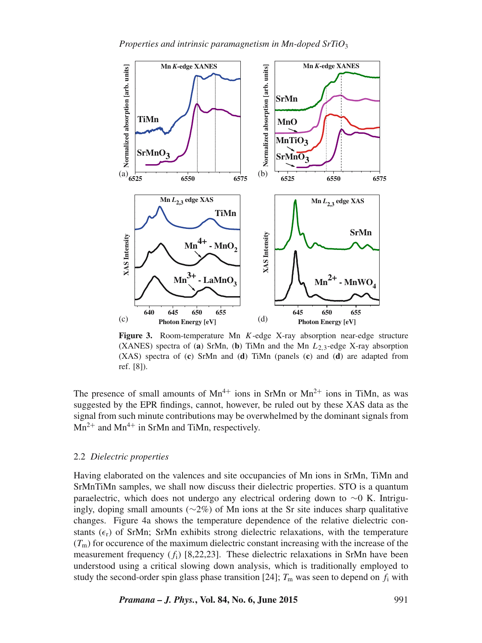

**Figure 3.** Room-temperature Mn K-edge X-ray absorption near-edge structure (XANES) spectra of (**a**) SrMn, (**b**) TiMn and the Mn  $L_{2,3}$ -edge X-ray absorption (XAS) spectra of (**c**) SrMn and (**d**) TiMn (panels (**c**) and (**d**) are adapted from ref. [8]).

The presence of small amounts of  $Mn^{4+}$  ions in SrMn or  $Mn^{2+}$  ions in TiMn, as was suggested by the EPR findings, cannot, however, be ruled out by these XAS data as the signal from such minute contributions may be overwhelmed by the dominant signals from  $Mn^{2+}$  and  $Mn^{4+}$  in SrMn and TiMn, respectively.

#### 2.2 *Dielectric properties*

Having elaborated on the valences and site occupancies of Mn ions in SrMn, TiMn and SrMnTiMn samples, we shall now discuss their dielectric properties. STO is a quantum paraelectric, which does not undergo any electrical ordering down to ∼0 K. Intriguingly, doping small amounts (∼2%) of Mn ions at the Sr site induces sharp qualitative changes. Figure 4a shows the temperature dependence of the relative dielectric constants  $(\epsilon_{r})$  of SrMn; SrMn exhibits strong dielectric relaxations, with the temperature  $(T<sub>m</sub>)$  for occurence of the maximum dielectric constant increasing with the increase of the measurement frequency  $(f_i)$  [8,22,23]. These dielectric relaxations in SrMn have been understood using a critical slowing down analysis, which is traditionally employed to study the second-order spin glass phase transition [24];  $T<sub>m</sub>$  was seen to depend on  $f<sub>i</sub>$  with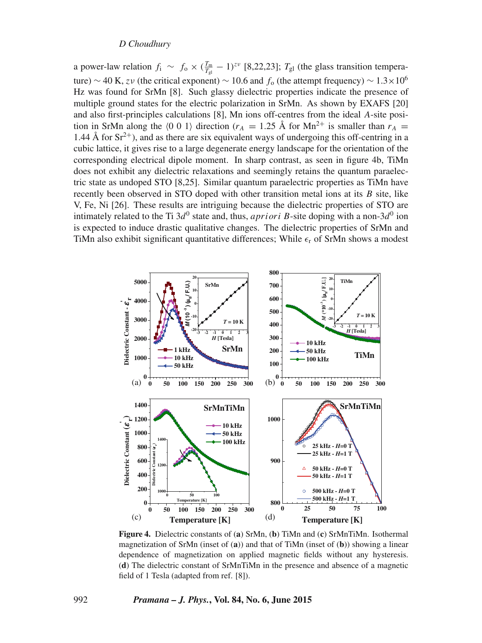a power-law relation  $f_1 \sim f_0 \times (\frac{T_m}{T_{gl}} - 1)^{z \nu}$  [8,22,23];  $T_{gl}$  (the glass transition temperature) ~ 40 K, zv (the critical exponent) ~ 10.6 and  $f_0$  (the attempt frequency) ~ 1.3×10<sup>6</sup> Hz was found for SrMn [8]. Such glassy dielectric properties indicate the presence of multiple ground states for the electric polarization in SrMn. As shown by EXAFS [20] and also first-principles calculations [8], Mn ions off-centres from the ideal A-site position in SrMn along the  $(0\ 0\ 1)$  direction ( $r_A = 1.25$  Å for Mn<sup>2+</sup> is smaller than  $r_A =$ 1.44 Å for  $Sr^{2+}$ ), and as there are six equivalent ways of undergoing this off-centring in a cubic lattice, it gives rise to a large degenerate energy landscape for the orientation of the corresponding electrical dipole moment. In sharp contrast, as seen in figure 4b, TiMn does not exhibit any dielectric relaxations and seemingly retains the quantum paraelectric state as undoped STO [8,25]. Similar quantum paraelectric properties as TiMn have recently been observed in STO doped with other transition metal ions at its  $B$  site, like V, Fe, Ni [26]. These results are intriguing because the dielectric properties of STO are intimately related to the Ti  $3d^0$  state and, thus, *apriori B*-site doping with a non- $3d^0$  ion is expected to induce drastic qualitative changes. The dielectric properties of SrMn and TiMn also exhibit significant quantitative differences; While  $\epsilon_r$  of SrMn shows a modest



**Figure 4.** Dielectric constants of (**a**) SrMn, (**b**) TiMn and (**c**) SrMnTiMn. Isothermal magnetization of SrMn (inset of (**a**)) and that of TiMn (inset of (**b**)) showing a linear dependence of magnetization on applied magnetic fields without any hysteresis. (**d**) The dielectric constant of SrMnTiMn in the presence and absence of a magnetic field of 1 Tesla (adapted from ref. [8]).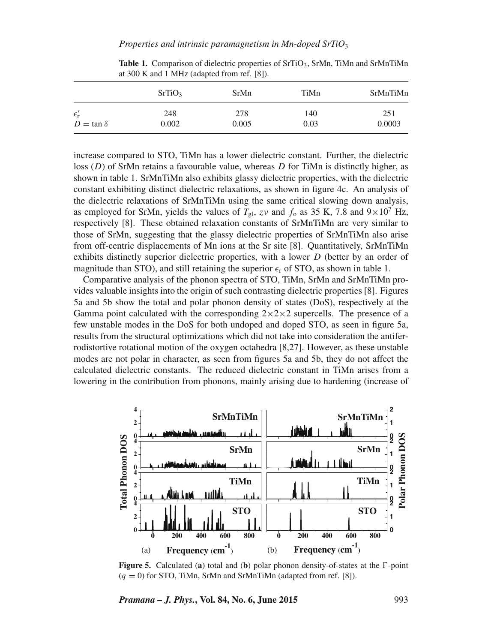|                             | SrTiO <sub>3</sub> | SrMn  | TiMn | SrMnTiMn |
|-----------------------------|--------------------|-------|------|----------|
| $\epsilon_{\rm r}^{\prime}$ | 248                | 278   | 140  | 251      |
| $D = \tan \delta$           | 0.002              | 0.005 | 0.03 | 0.0003   |

Table 1. Comparison of dielectric properties of SrTiO<sub>3</sub>, SrMn, TiMn and SrMnTiMn at 300 K and 1 MHz (adapted from ref. [8]).

increase compared to STO, TiMn has a lower dielectric constant. Further, the dielectric loss  $(D)$  of SrMn retains a favourable value, whereas D for TiMn is distinctly higher, as shown in table 1. SrMnTiMn also exhibits glassy dielectric properties, with the dielectric constant exhibiting distinct dielectric relaxations, as shown in figure 4c. An analysis of the dielectric relaxations of SrMnTiMn using the same critical slowing down analysis, as employed for SrMn, yields the values of  $T_{gl}$ , zv and  $f_0$  as 35 K, 7.8 and  $9 \times 10^7$  Hz, respectively [8]. These obtained relaxation constants of SrMnTiMn are very similar to those of SrMn, suggesting that the glassy dielectric properties of SrMnTiMn also arise from off-centric displacements of Mn ions at the Sr site [8]. Quantitatively, SrMnTiMn exhibits distinctly superior dielectric properties, with a lower D (better by an order of magnitude than STO), and still retaining the superior  $\epsilon_r$  of STO, as shown in table 1.

Comparative analysis of the phonon spectra of STO, TiMn, SrMn and SrMnTiMn provides valuable insights into the origin of such contrasting dielectric properties [8]. Figures 5a and 5b show the total and polar phonon density of states (DoS), respectively at the Gamma point calculated with the corresponding  $2\times2\times2$  supercells. The presence of a few unstable modes in the DoS for both undoped and doped STO, as seen in figure 5a, results from the structural optimizations which did not take into consideration the antiferrodistortive rotational motion of the oxygen octahedra [8,27]. However, as these unstable modes are not polar in character, as seen from figures 5a and 5b, they do not affect the calculated dielectric constants. The reduced dielectric constant in TiMn arises from a lowering in the contribution from phonons, mainly arising due to hardening (increase of



**Figure 5.** Calculated (**a**) total and (**b**) polar phonon density-of-states at the  $\Gamma$ -point  $(q = 0)$  for STO, TiMn, SrMn and SrMnTiMn (adapted from ref. [8]).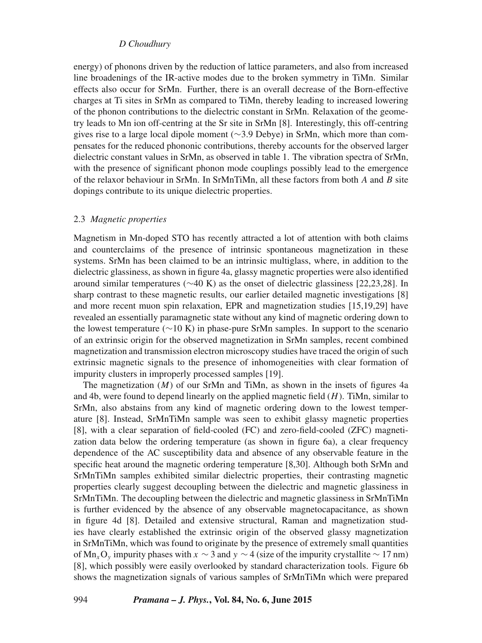energy) of phonons driven by the reduction of lattice parameters, and also from increased line broadenings of the IR-active modes due to the broken symmetry in TiMn. Similar effects also occur for SrMn. Further, there is an overall decrease of the Born-effective charges at Ti sites in SrMn as compared to TiMn, thereby leading to increased lowering of the phonon contributions to the dielectric constant in SrMn. Relaxation of the geometry leads to Mn ion off-centring at the Sr site in SrMn [8]. Interestingly, this off-centring gives rise to a large local dipole moment (∼3.9 Debye) in SrMn, which more than compensates for the reduced phononic contributions, thereby accounts for the observed larger dielectric constant values in SrMn, as observed in table 1. The vibration spectra of SrMn, with the presence of significant phonon mode couplings possibly lead to the emergence of the relaxor behaviour in SrMn. In SrMnTiMn, all these factors from both  $A$  and  $B$  site dopings contribute to its unique dielectric properties.

## 2.3 *Magnetic properties*

Magnetism in Mn-doped STO has recently attracted a lot of attention with both claims and counterclaims of the presence of intrinsic spontaneous magnetization in these systems. SrMn has been claimed to be an intrinsic multiglass, where, in addition to the dielectric glassiness, as shown in figure 4a, glassy magnetic properties were also identified around similar temperatures (∼40 K) as the onset of dielectric glassiness [22,23,28]. In sharp contrast to these magnetic results, our earlier detailed magnetic investigations [8] and more recent muon spin relaxation, EPR and magnetization studies [15,19,29] have revealed an essentially paramagnetic state without any kind of magnetic ordering down to the lowest temperature (∼10 K) in phase-pure SrMn samples. In support to the scenario of an extrinsic origin for the observed magnetization in SrMn samples, recent combined magnetization and transmission electron microscopy studies have traced the origin of such extrinsic magnetic signals to the presence of inhomogeneities with clear formation of impurity clusters in improperly processed samples [19].

The magnetization  $(M)$  of our SrMn and TiMn, as shown in the insets of figures 4a and 4b, were found to depend linearly on the applied magnetic field  $(H)$ . TiMn, similar to SrMn, also abstains from any kind of magnetic ordering down to the lowest temperature [8]. Instead, SrMnTiMn sample was seen to exhibit glassy magnetic properties [8], with a clear separation of field-cooled (FC) and zero-field-cooled (ZFC) magnetization data below the ordering temperature (as shown in figure 6a), a clear frequency dependence of the AC susceptibility data and absence of any observable feature in the specific heat around the magnetic ordering temperature [8,30]. Although both SrMn and SrMnTiMn samples exhibited similar dielectric properties, their contrasting magnetic properties clearly suggest decoupling between the dielectric and magnetic glassiness in SrMnTiMn. The decoupling between the dielectric and magnetic glassiness in SrMnTiMn is further evidenced by the absence of any observable magnetocapacitance, as shown in figure 4d [8]. Detailed and extensive structural, Raman and magnetization studies have clearly established the extrinsic origin of the observed glassy magnetization in SrMnTiMn, which was found to originate by the presence of extremely small quantities of Mn<sub>x</sub>O<sub>y</sub> impurity phases with x ∼ 3 and y ∼ 4 (size of the impurity crystallite ~ 17 nm) [8], which possibly were easily overlooked by standard characterization tools. Figure 6b shows the magnetization signals of various samples of SrMnTiMn which were prepared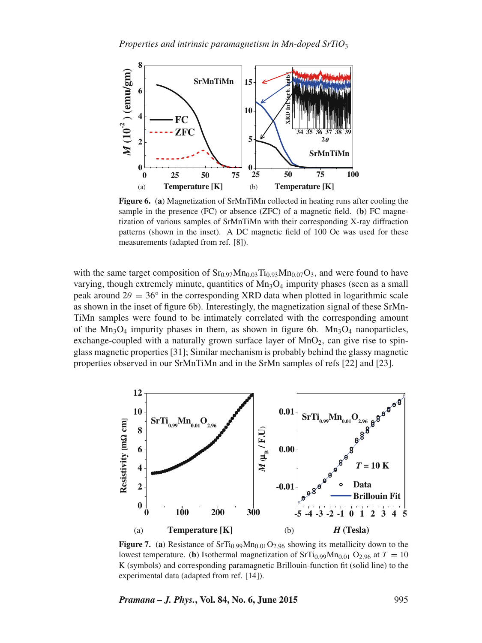

**Figure 6.** (**a**) Magnetization of SrMnTiMn collected in heating runs after cooling the sample in the presence (FC) or absence (ZFC) of a magnetic field. (**b**) FC magnetization of various samples of SrMnTiMn with their corresponding X-ray diffraction patterns (shown in the inset). A DC magnetic field of 100 Oe was used for these measurements (adapted from ref. [8]).

with the same target composition of  $Sr_{0.97}M_{n_{0.03}}Ti_{0.93}M_{n_{0.07}}O_3$ , and were found to have varying, though extremely minute, quantities of  $Mn<sub>3</sub>O<sub>4</sub>$  impurity phases (seen as a small peak around  $2\theta = 36^\circ$  in the corresponding XRD data when plotted in logarithmic scale as shown in the inset of figure 6b). Interestingly, the magnetization signal of these SrMn-TiMn samples were found to be intimately correlated with the corresponding amount of the  $Mn_3O_4$  impurity phases in them, as shown in figure 6b.  $Mn_3O_4$  nanoparticles, exchange-coupled with a naturally grown surface layer of  $MnO<sub>2</sub>$ , can give rise to spinglass magnetic properties [31]; Similar mechanism is probably behind the glassy magnetic properties observed in our SrMnTiMn and in the SrMn samples of refs [22] and [23].



**Figure 7.** (a) Resistance of  $SrTi<sub>0.99</sub>Mn<sub>0.01</sub>O<sub>2.96</sub>$  showing its metallicity down to the lowest temperature. (**b**) Isothermal magnetization of  $SrT_{10.99}Mn_{0.01}O_{2.96}$  at  $T = 10$ K (symbols) and corresponding paramagnetic Brillouin-function fit (solid line) to the experimental data (adapted from ref. [14]).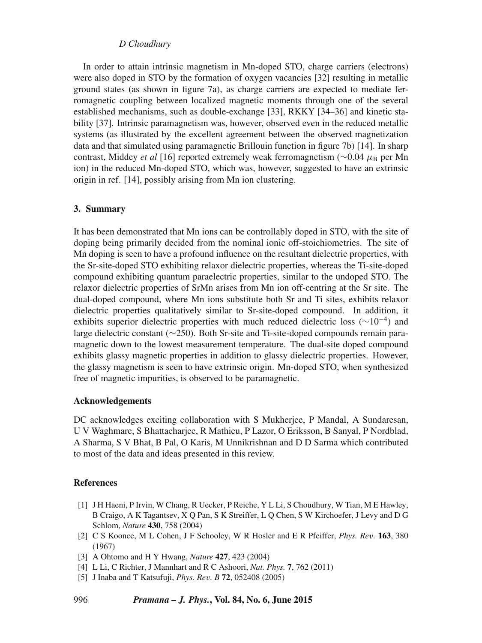In order to attain intrinsic magnetism in Mn-doped STO, charge carriers (electrons) were also doped in STO by the formation of oxygen vacancies [32] resulting in metallic ground states (as shown in figure 7a), as charge carriers are expected to mediate ferromagnetic coupling between localized magnetic moments through one of the several established mechanisms, such as double-exchange [33], RKKY [34–36] and kinetic stability [37]. Intrinsic paramagnetism was, however, observed even in the reduced metallic systems (as illustrated by the excellent agreement between the observed magnetization data and that simulated using paramagnetic Brillouin function in figure 7b) [14]. In sharp contrast, Middey *et al* [16] reported extremely weak ferromagnetism ( $\sim$ 0.04  $\mu_B$  per Mn ion) in the reduced Mn-doped STO, which was, however, suggested to have an extrinsic origin in ref. [14], possibly arising from Mn ion clustering.

## **3. Summary**

It has been demonstrated that Mn ions can be controllably doped in STO, with the site of doping being primarily decided from the nominal ionic off-stoichiometries. The site of Mn doping is seen to have a profound influence on the resultant dielectric properties, with the Sr-site-doped STO exhibiting relaxor dielectric properties, whereas the Ti-site-doped compound exhibiting quantum paraelectric properties, similar to the undoped STO. The relaxor dielectric properties of SrMn arises from Mn ion off-centring at the Sr site. The dual-doped compound, where Mn ions substitute both Sr and Ti sites, exhibits relaxor dielectric properties qualitatively similar to Sr-site-doped compound. In addition, it exhibits superior dielectric properties with much reduced dielectric loss ( $\sim$ 10<sup>-4</sup>) and large dielectric constant (∼250). Both Sr-site and Ti-site-doped compounds remain paramagnetic down to the lowest measurement temperature. The dual-site doped compound exhibits glassy magnetic properties in addition to glassy dielectric properties. However, the glassy magnetism is seen to have extrinsic origin. Mn-doped STO, when synthesized free of magnetic impurities, is observed to be paramagnetic.

## **Acknowledgements**

DC acknowledges exciting collaboration with S Mukherjee, P Mandal, A Sundaresan, U V Waghmare, S Bhattacharjee, R Mathieu, P Lazor, O Eriksson, B Sanyal, P Nordblad, A Sharma, S V Bhat, B Pal, O Karis, M Unnikrishnan and D D Sarma which contributed to most of the data and ideas presented in this review.

## **References**

- [1] J H Haeni, P Irvin, W Chang, R Uecker, P Reiche, Y L Li, S Choudhury, W Tian, M E Hawley, B Craigo, A K Tagantsev, X Q Pan, S K Streiffer, L Q Chen, S W Kirchoefer, J Levy and D G Schlom, *Nature* **430**, 758 (2004)
- [2] C S Koonce, M L Cohen, J F Schooley, W R Hosler and E R Pfeiffer, *Phys. Re*v*.* **163**, 380 (1967)
- [3] A Ohtomo and H Y Hwang, *Nature* **427**, 423 (2004)
- [4] L Li, C Richter, J Mannhart and R C Ashoori, *Nat. Phys.* **7**, 762 (2011)
- [5] J Inaba and T Katsufuji, *Phys. Re*v*. B* **72**, 052408 (2005)